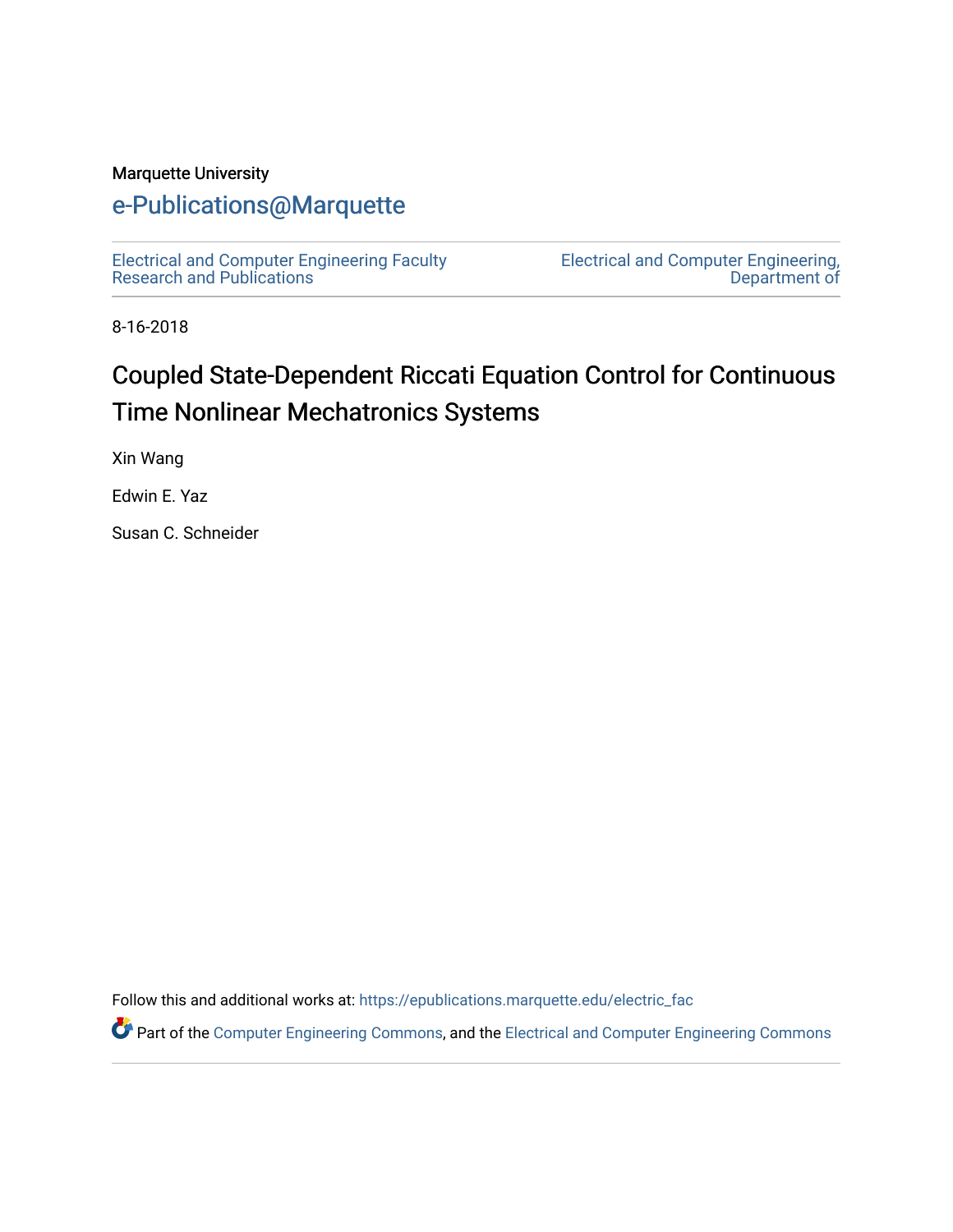#### Marquette University

# [e-Publications@Marquette](https://epublications.marquette.edu/)

[Electrical and Computer Engineering Faculty](https://epublications.marquette.edu/electric_fac) [Research and Publications](https://epublications.marquette.edu/electric_fac) 

[Electrical and Computer Engineering,](https://epublications.marquette.edu/electric)  [Department of](https://epublications.marquette.edu/electric) 

8-16-2018

# Coupled State-Dependent Riccati Equation Control for Continuous Time Nonlinear Mechatronics Systems

Xin Wang

Edwin E. Yaz

Susan C. Schneider

Follow this and additional works at: [https://epublications.marquette.edu/electric\\_fac](https://epublications.marquette.edu/electric_fac?utm_source=epublications.marquette.edu%2Felectric_fac%2F549&utm_medium=PDF&utm_campaign=PDFCoverPages) 

Part of the [Computer Engineering Commons,](http://network.bepress.com/hgg/discipline/258?utm_source=epublications.marquette.edu%2Felectric_fac%2F549&utm_medium=PDF&utm_campaign=PDFCoverPages) and the [Electrical and Computer Engineering Commons](http://network.bepress.com/hgg/discipline/266?utm_source=epublications.marquette.edu%2Felectric_fac%2F549&utm_medium=PDF&utm_campaign=PDFCoverPages)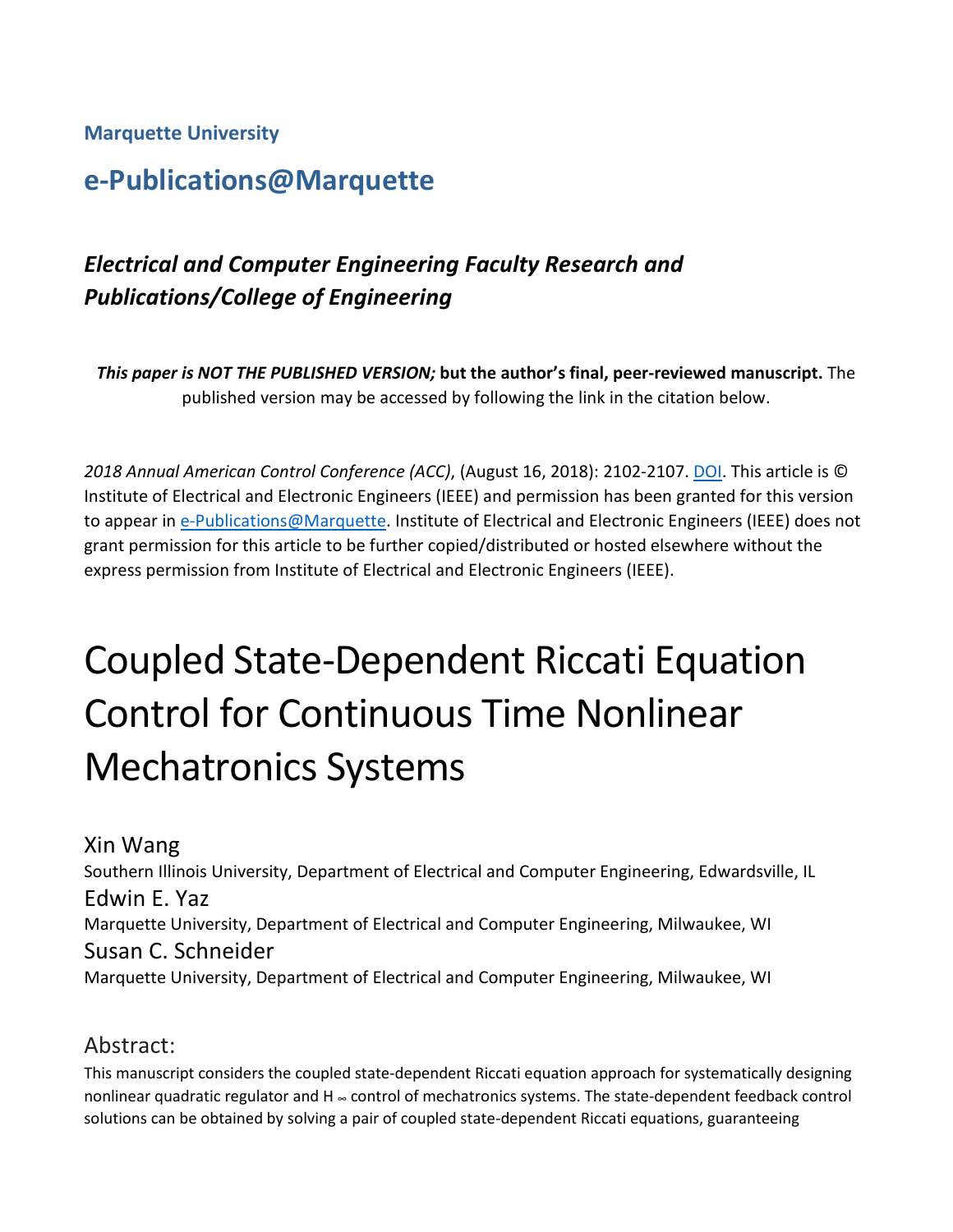**Marquette University**

# **e-Publications@Marquette**

# *Electrical and Computer Engineering Faculty Research and Publications/College of Engineering*

*This paper is NOT THE PUBLISHED VERSION;* **but the author's final, peer-reviewed manuscript.** The published version may be accessed by following the link in the citation below.

*2018 Annual American Control Conference (ACC)*, (August 16, 2018): 2102-2107[. DOI.](https://doi.org/10.23919/ACC.2018.8431627) This article is © Institute of Electrical and Electronic Engineers (IEEE) and permission has been granted for this version to appear in [e-Publications@Marquette.](http://epublications.marquette.edu/) Institute of Electrical and Electronic Engineers (IEEE) does not grant permission for this article to be further copied/distributed or hosted elsewhere without the express permission from Institute of Electrical and Electronic Engineers (IEEE).

# Coupled State-Dependent Riccati Equation Control for Continuous Time Nonlinear Mechatronics Systems

Xin Wang Southern Illinois University, Department of Electrical and Computer Engineering, Edwardsville, IL Edwin E. Yaz Marquette University, Department of Electrical and Computer Engineering, Milwaukee, WI Susan C. Schneider Marquette University, Department of Electrical and Computer Engineering, Milwaukee, WI

## Abstract:

This manuscript considers the coupled state-dependent Riccati equation approach for systematically designing nonlinear quadratic regulator and H <sup>∞</sup> control of mechatronics systems. The state-dependent feedback control solutions can be obtained by solving a pair of coupled state-dependent Riccati equations, guaranteeing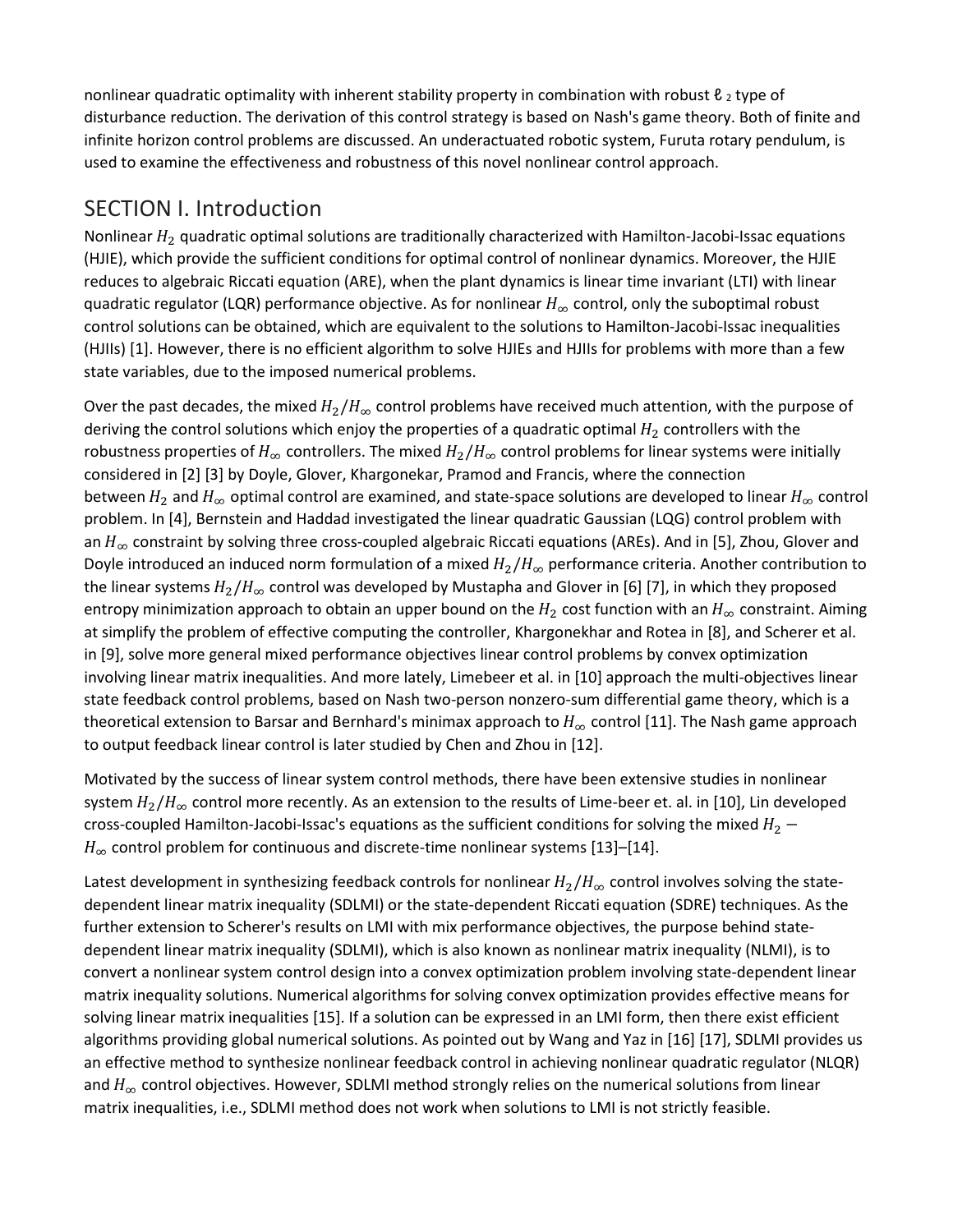nonlinear quadratic optimality with inherent stability property in combination with robust  $\ell_2$  type of disturbance reduction. The derivation of this control strategy is based on Nash's game theory. Both of finite and infinite horizon control problems are discussed. An underactuated robotic system, Furuta rotary pendulum, is used to examine the effectiveness and robustness of this novel nonlinear control approach.

## SECTION I. Introduction

Nonlinear  $H_2$  quadratic optimal solutions are traditionally characterized with Hamilton-Jacobi-Issac equations (HJIE), which provide the sufficient conditions for optimal control of nonlinear dynamics. Moreover, the HJIE reduces to algebraic Riccati equation (ARE), when the plant dynamics is linear time invariant (LTI) with linear quadratic regulator (LQR) performance objective. As for nonlinear  $H_{\infty}$  control, only the suboptimal robust control solutions can be obtained, which are equivalent to the solutions to Hamilton-Jacobi-Issac inequalities (HJIIs) [1]. However, there is no efficient algorithm to solve HJIEs and HJIIs for problems with more than a few state variables, due to the imposed numerical problems.

Over the past decades, the mixed  $H_2/H_\infty$  control problems have received much attention, with the purpose of deriving the control solutions which enjoy the properties of a quadratic optimal  $H_2$  controllers with the robustness properties of  $H_{\infty}$  controllers. The mixed  $H_2/H_{\infty}$  control problems for linear systems were initially considered in [2] [3] by Doyle, Glover, Khargonekar, Pramod and Francis, where the connection between  $H_2$  and  $H_{\infty}$  optimal control are examined, and state-space solutions are developed to linear  $H_{\infty}$  control problem. In [4], Bernstein and Haddad investigated the linear quadratic Gaussian (LQG) control problem with an  $H_{\infty}$  constraint by solving three cross-coupled algebraic Riccati equations (AREs). And in [5], Zhou, Glover and Doyle introduced an induced norm formulation of a mixed  $H_2/H_\infty$  performance criteria. Another contribution to the linear systems  $H_2/H_\infty$  control was developed by Mustapha and Glover in [6] [7], in which they proposed entropy minimization approach to obtain an upper bound on the  $H_2$  cost function with an  $H_\infty$  constraint. Aiming at simplify the problem of effective computing the controller, Khargonekhar and Rotea in [8], and Scherer et al. in [9], solve more general mixed performance objectives linear control problems by convex optimization involving linear matrix inequalities. And more lately, Limebeer et al. in [10] approach the multi-objectives linear state feedback control problems, based on Nash two-person nonzero-sum differential game theory, which is a theoretical extension to Barsar and Bernhard's minimax approach to  $H_{\infty}$  control [11]. The Nash game approach to output feedback linear control is later studied by Chen and Zhou in [12].

Motivated by the success of linear system control methods, there have been extensive studies in nonlinear system  $H_2/H_\infty$  control more recently. As an extension to the results of Lime-beer et. al. in [10], Lin developed cross-coupled Hamilton-Jacobi-Issac's equations as the sufficient conditions for solving the mixed  $H_2$  –  $H_{\infty}$  control problem for continuous and discrete-time nonlinear systems [13]–[14].

Latest development in synthesizing feedback controls for nonlinear  $H_2/H_{\infty}$  control involves solving the statedependent linear matrix inequality (SDLMI) or the state-dependent Riccati equation (SDRE) techniques. As the further extension to Scherer's results on LMI with mix performance objectives, the purpose behind statedependent linear matrix inequality (SDLMI), which is also known as nonlinear matrix inequality (NLMI), is to convert a nonlinear system control design into a convex optimization problem involving state-dependent linear matrix inequality solutions. Numerical algorithms for solving convex optimization provides effective means for solving linear matrix inequalities [15]. If a solution can be expressed in an LMI form, then there exist efficient algorithms providing global numerical solutions. As pointed out by Wang and Yaz in [16] [17], SDLMI provides us an effective method to synthesize nonlinear feedback control in achieving nonlinear quadratic regulator (NLQR) and  $H_{\infty}$  control objectives. However, SDLMI method strongly relies on the numerical solutions from linear matrix inequalities, i.e., SDLMI method does not work when solutions to LMI is not strictly feasible.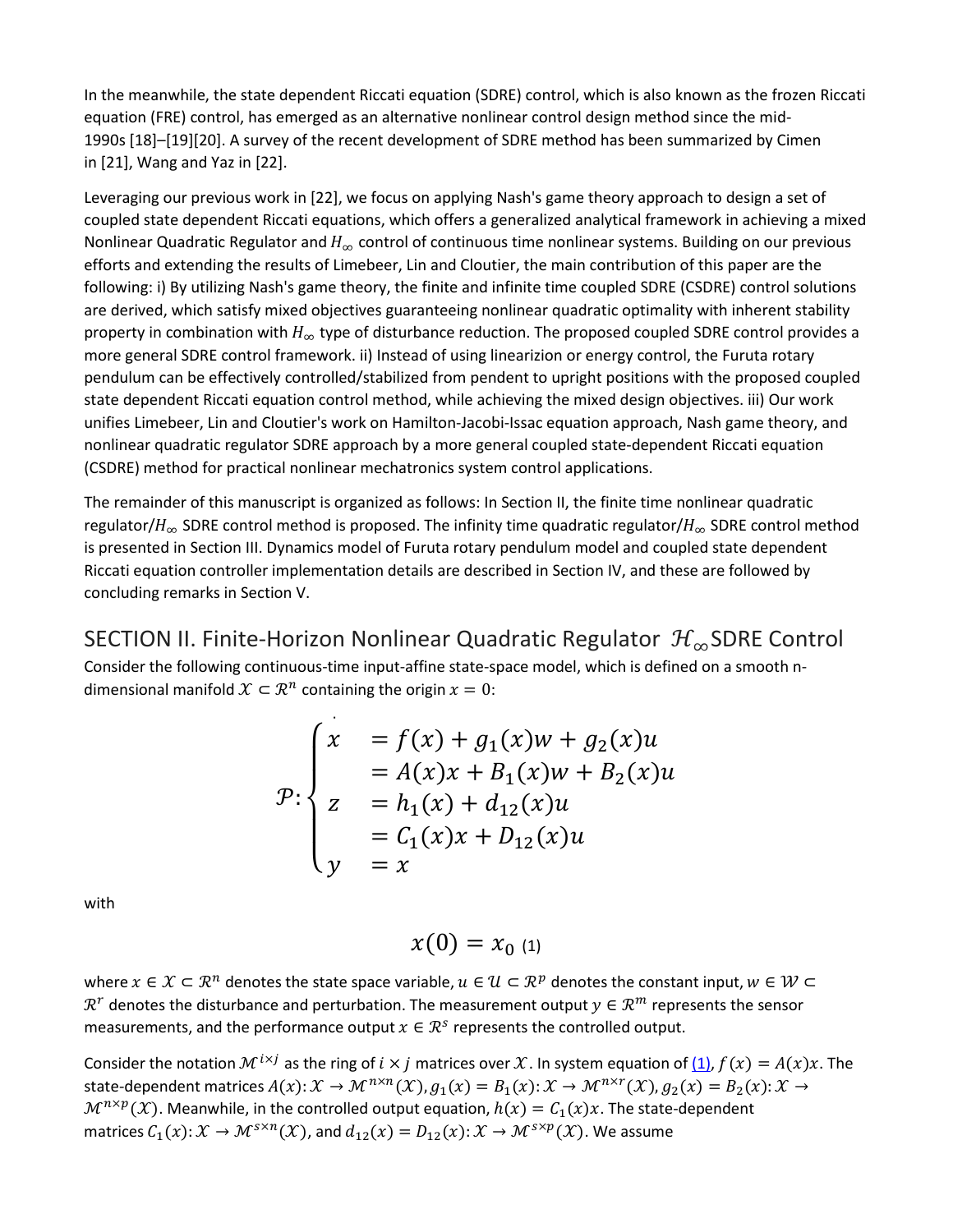In the meanwhile, the state dependent Riccati equation (SDRE) control, which is also known as the frozen Riccati equation (FRE) control, has emerged as an alternative nonlinear control design method since the mid-1990s [18]–[19][20]. A survey of the recent development of SDRE method has been summarized by Cimen in [21], Wang and Yaz in [22].

Leveraging our previous work in [22], we focus on applying Nash's game theory approach to design a set of coupled state dependent Riccati equations, which offers a generalized analytical framework in achieving a mixed Nonlinear Quadratic Regulator and  $H_{\infty}$  control of continuous time nonlinear systems. Building on our previous efforts and extending the results of Limebeer, Lin and Cloutier, the main contribution of this paper are the following: i) By utilizing Nash's game theory, the finite and infinite time coupled SDRE (CSDRE) control solutions are derived, which satisfy mixed objectives guaranteeing nonlinear quadratic optimality with inherent stability property in combination with  $H_{\infty}$  type of disturbance reduction. The proposed coupled SDRE control provides a more general SDRE control framework. ii) Instead of using linearizion or energy control, the Furuta rotary pendulum can be effectively controlled/stabilized from pendent to upright positions with the proposed coupled state dependent Riccati equation control method, while achieving the mixed design objectives. iii) Our work unifies Limebeer, Lin and Cloutier's work on Hamilton-Jacobi-Issac equation approach, Nash game theory, and nonlinear quadratic regulator SDRE approach by a more general coupled state-dependent Riccati equation (CSDRE) method for practical nonlinear mechatronics system control applications.

The remainder of this manuscript is organized as follows: In Section II, the finite time nonlinear quadratic regulator/ $H_{\infty}$  SDRE control method is proposed. The infinity time quadratic regulator/ $H_{\infty}$  SDRE control method is presented in Section III. Dynamics model of Furuta rotary pendulum model and coupled state dependent Riccati equation controller implementation details are described in Section IV, and these are followed by concluding remarks in Section V.

SECTION II. Finite-Horizon Nonlinear Quadratic Regulator  $\mathcal{H}_\infty$ SDRE Control Consider the following continuous-time input-affine state-space model, which is defined on a smooth ndimensional manifold  $\mathcal{X} \subset \mathcal{R}^n$  containing the origin  $x = 0$ :

$$
\mathcal{P}: \begin{cases} x & = f(x) + g_1(x)w + g_2(x)u \\ z & = A(x)x + B_1(x)w + B_2(x)u \\ z & = h_1(x) + d_{12}(x)u \\ y & = x \end{cases}
$$

with

$$
x(0)=x_{0\ (1)}
$$

where  $x \in \mathcal{X} \subset \mathbb{R}^n$  denotes the state space variable,  $u \in \mathcal{U} \subset \mathbb{R}^p$  denotes the constant input,  $w \in \mathcal{W} \subset$  $\mathcal{R}^r$  denotes the disturbance and perturbation. The measurement output  $y \in \mathcal{R}^m$  represents the sensor measurements, and the performance output  $x \in \mathbb{R}^s$  represents the controlled output.

Consider the notation  $\mathcal{M}^{i \times j}$  as the ring of  $i \times j$  matrices over X. In system equation of  $(1)$ ,  $f(x) = A(x)x$ . The state-dependent matrices  $A(x): \mathcal{X} \to \mathcal{M}^{n \times n}(\mathcal{X}), g_1(x) = B_1(x): \mathcal{X} \to \mathcal{M}^{n \times r}(\mathcal{X}), g_2(x) = B_2(x): \mathcal{X} \to$  $\mathcal{M}^{n \times p}(\mathcal{X})$ . Meanwhile, in the controlled output equation,  $h(x) = C_1(x)x$ . The state-dependent matrices  $C_1(x): \mathcal{X} \to \mathcal{M}^{s \times n}(\mathcal{X})$ , and  $d_{12}(x) = D_{12}(x): \mathcal{X} \to \mathcal{M}^{s \times p}(\mathcal{X})$ . We assume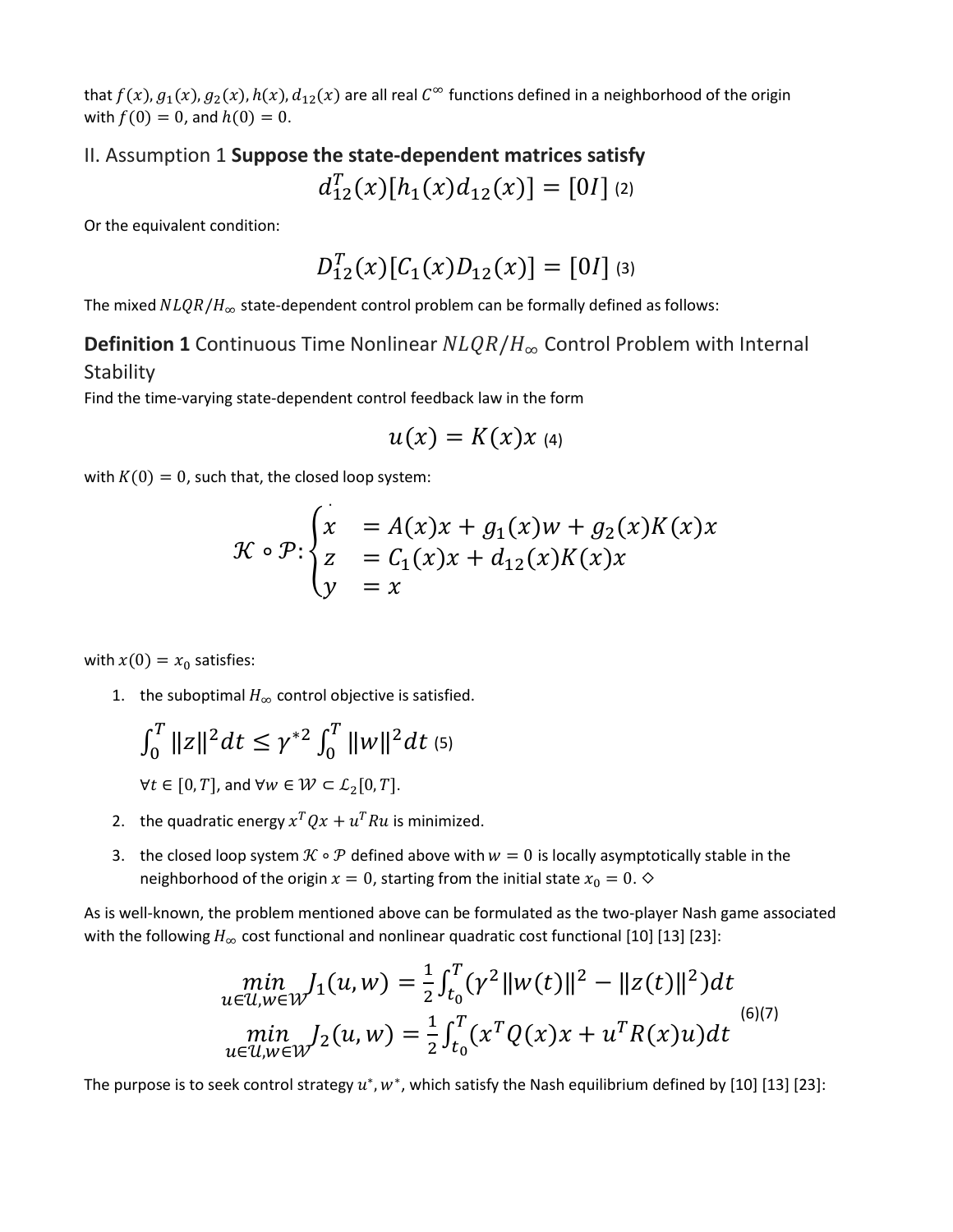that  $f(x)$ ,  $g_1(x)$ ,  $g_2(x)$ ,  $h(x)$ ,  $d_{12}(x)$  are all real  $C^\infty$  functions defined in a neighborhood of the origin with  $f(0) = 0$ , and  $h(0) = 0$ .

# II. Assumption 1 **Suppose the state-dependent matrices satisfy**  $d_{12}^T(x)[h_1(x)d_{12}(x)] = [01]$  (2)

Or the equivalent condition:

$$
D_{12}^{T}(x)[\mathcal{C}_{1}(x)D_{12}(x)]=[0I] \text{ (3)}
$$

The mixed  $NLQR/H_{\infty}$  state-dependent control problem can be formally defined as follows:

## **Definition 1** Continuous Time Nonlinear  $NLQR/H_{\infty}$  Control Problem with Internal **Stability**

Find the time-varying state-dependent control feedback law in the form

$$
u(x)=K(x)x
$$
 (4)

with  $K(0) = 0$ , such that, the closed loop system:

$$
\mathcal{K} \circ \mathcal{P} : \begin{cases} x &= A(x)x + g_1(x)w + g_2(x)K(x)x \\ z &= C_1(x)x + d_{12}(x)K(x)x \\ y &= x \end{cases}
$$

with  $x(0) = x_0$  satisfies:

1. the suboptimal  $H_{\infty}$  control objective is satisfied.

$$
\int_0^T \|z\|^2 dt \leq \gamma^{*2} \int_0^T \|w\|^2 dt
$$
 (5)

 $\forall t \in [0, T]$ , and  $\forall w \in \mathcal{W} \subset \mathcal{L}_2[0, T]$ .

- 2. the quadratic energy  $x^T Q x + u^T R u$  is minimized.
- 3. the closed loop system  $\mathcal{K} \circ \mathcal{P}$  defined above with  $w = 0$  is locally asymptotically stable in the neighborhood of the origin  $x = 0$ , starting from the initial state  $x_0 = 0$ .  $\diamond$

As is well-known, the problem mentioned above can be formulated as the two-player Nash game associated with the following  $H_{\infty}$  cost functional and nonlinear quadratic cost functional [10] [13] [23]:

$$
\min_{u \in \mathcal{U}, w \in \mathcal{W}} J_1(u, w) = \frac{1}{2} \int_{t_0}^T (\gamma^2 ||w(t)||^2 - ||z(t)||^2) dt
$$
  
\n
$$
\min_{u \in \mathcal{U}, w \in \mathcal{W}} J_2(u, w) = \frac{1}{2} \int_{t_0}^T (x^T Q(x)x + u^T R(x)u) dt
$$
 (6)(7)

The purpose is to seek control strategy  $u^*$ ,  $w^*$ , which satisfy the Nash equilibrium defined by [10] [13] [23]: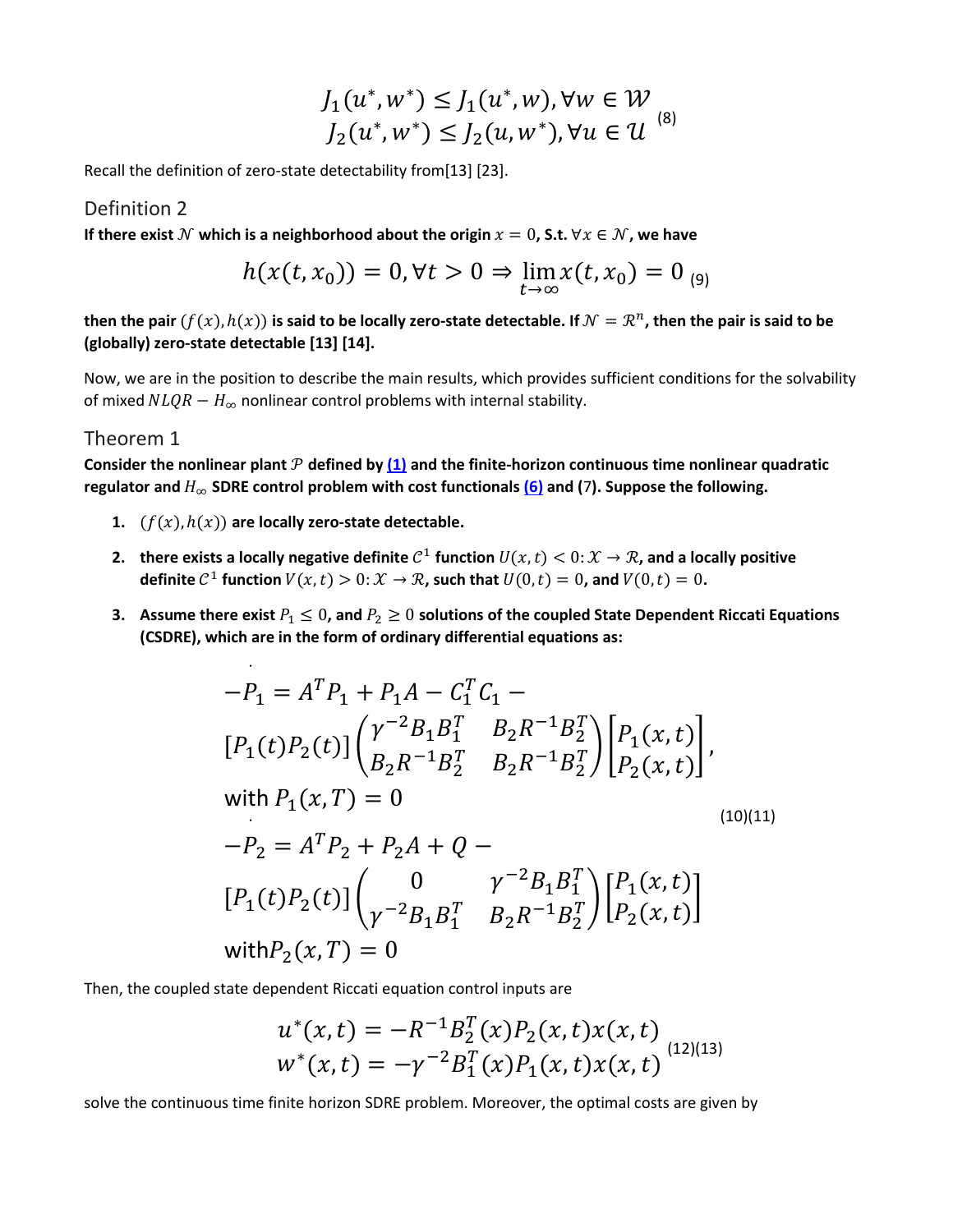$$
J_1(u^*, w^*) \le J_1(u^*, w), \forall w \in W
$$
  

$$
J_2(u^*, w^*) \le J_2(u, w^*), \forall u \in U
$$
<sup>(8)</sup>

Recall the definition of zero-state detectability from[13] [23].

#### Definition 2

**If there exist**  $N$  which is a neighborhood about the origin  $x = 0$ , S.t.  $\forall x \in N$ , we have

$$
h(x(t, x_0)) = 0, \forall t > 0 \Rightarrow \lim_{t \to \infty} x(t, x_0) = 0
$$
 (9)

**then the pair**  $(f(x), h(x))$  is said to be locally zero-state detectable. If  $\mathcal{N} = \mathbb{R}^n$ , then the pair is said to be **(globally) zero-state detectable [13] [14].**

Now, we are in the position to describe the main results, which provides sufficient conditions for the solvability of mixed  $NLQR - H_{\infty}$  nonlinear control problems with internal stability.

#### Theorem 1

Consider the nonlinear plant  $P$  defined by  $(1)$  and the finite-horizon continuous time nonlinear quadratic **regulator and** ∞ **SDRE control problem with cost functionals [\(6\)](https://ieeexplore.ieee.org/document/#deqn6-7) and (**7**). Suppose the following.**

- **1.**  $(f(x), h(x))$  are locally zero-state detectable.
- **2. there exists a locally negative definite**  $C^1$  function  $U(x, t) < 0: \mathcal{X} \to \mathcal{R}$ , and a locally positive **definite**  $C^1$  function  $V(x, t) > 0: X \to \mathcal{R}$ , such that  $U(0, t) = 0$ , and  $V(0, t) = 0$ .
- **3.** Assume there exist  $P_1 \le 0$ , and  $P_2 \ge 0$  solutions of the coupled State Dependent Riccati Equations **(CSDRE), which are in the form of ordinary differential equations as:**

$$
-P_1 = A^T P_1 + P_1 A - C_1^T C_1 -
$$
  
\n
$$
[P_1(t)P_2(t)] \begin{pmatrix} \gamma^{-2} B_1 B_1^T & B_2 R^{-1} B_2^T \\ B_2 R^{-1} B_2^T & B_2 R^{-1} B_2^T \end{pmatrix} \begin{bmatrix} P_1(x, t) \\ P_2(x, t) \end{bmatrix},
$$
  
\nwith  $P_1(x, T) = 0$   
\n
$$
-P_2 = A^T P_2 + P_2 A + Q -
$$
  
\n
$$
[P_1(t)P_2(t)] \begin{pmatrix} 0 & \gamma^{-2} B_1 B_1^T \\ \gamma^{-2} B_1 B_1^T & B_2 R^{-1} B_2^T \end{pmatrix} \begin{bmatrix} P_1(x, t) \\ P_2(x, t) \end{bmatrix}
$$
  
\nwith  $P_2(x, T) = 0$ 

Then, the coupled state dependent Riccati equation control inputs are

$$
u^*(x,t) = -R^{-1}B_2^T(x)P_2(x,t)x(x,t)
$$
  

$$
w^*(x,t) = -\gamma^{-2}B_1^T(x)P_1(x,t)x(x,t)
$$
<sup>(12)(13)</sup>

solve the continuous time finite horizon SDRE problem. Moreover, the optimal costs are given by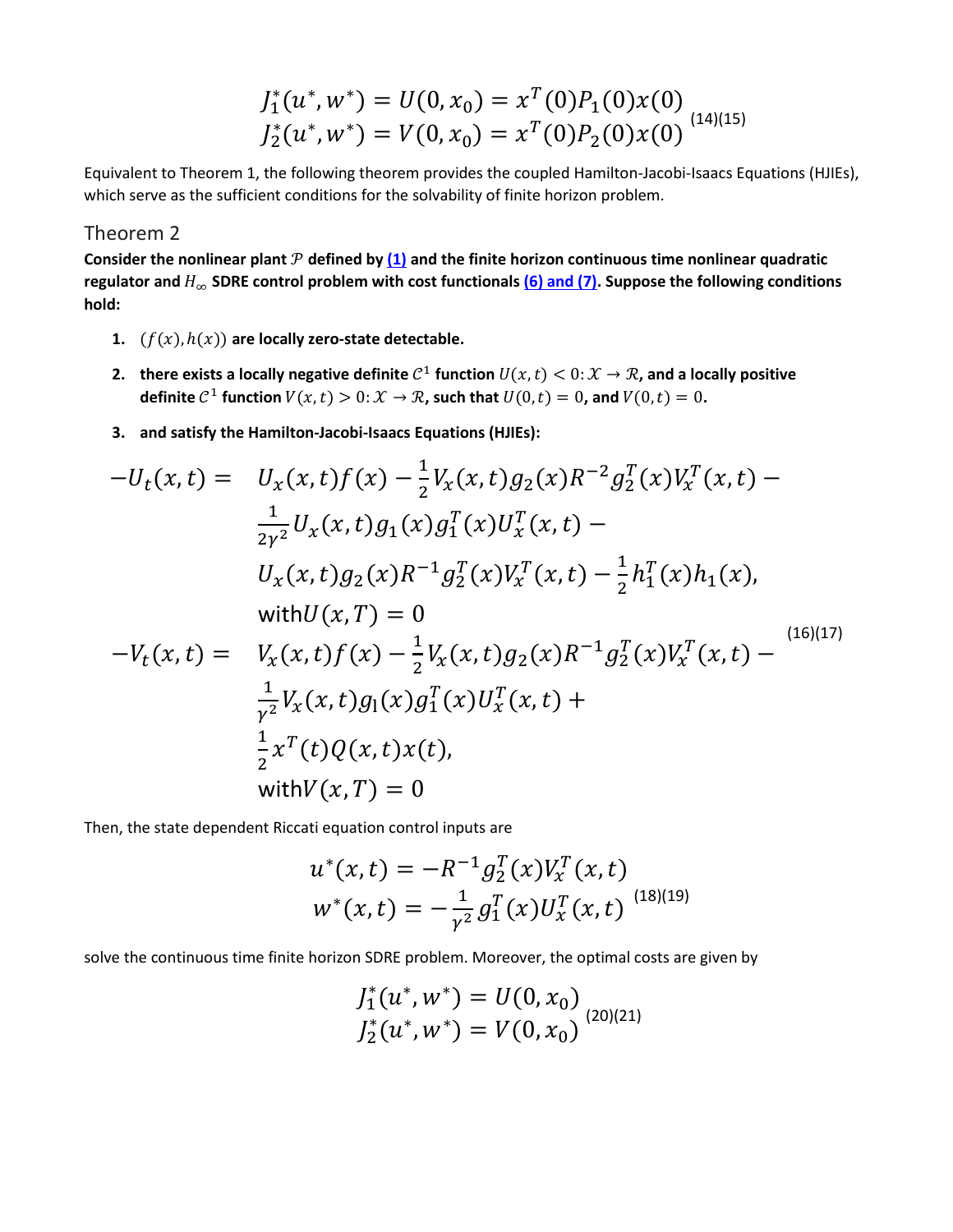$$
J_1^*(u^*, w^*) = U(0, x_0) = x^T(0)P_1(0)x(0)
$$
  

$$
J_2^*(u^*, w^*) = V(0, x_0) = x^T(0)P_2(0)x(0)
$$
  
(14)(15)

Equivalent to Theorem 1, the following theorem provides the coupled Hamilton-Jacobi-Isaacs Equations (HJIEs), which serve as the sufficient conditions for the solvability of finite horizon problem.

#### Theorem 2

Consider the nonlinear plant  $P$  defined by  $(1)$  and the finite horizon continuous time nonlinear quadratic **regulator and** ∞ **SDRE control problem with cost functionals [\(6\) and \(7\).](https://ieeexplore.ieee.org/document/#deqn6-7) Suppose the following conditions hold:**

- **1.**  $(f(x), h(x))$  are locally zero-state detectable.
- **2. there exists a locally negative definite**  $C^1$  function  $U(x, t) < 0: \mathcal{X} \to \mathcal{R}$ , and a locally positive **definite**  $C^1$  **function**  $V(x, t) > 0: X \to \mathcal{R}$ , such that  $U(0, t) = 0$ , and  $V(0, t) = 0$ .
- **3. and satisfy the Hamilton-Jacobi-Isaacs Equations (HJIEs):**

$$
-U_t(x,t) = U_x(x,t)f(x) - \frac{1}{2}V_x(x,t)g_2(x)R^{-2}g_2^T(x)V_x^T(x,t) -
$$
  
\n
$$
\frac{1}{2\gamma^2}U_x(x,t)g_1(x)g_1^T(x)U_x^T(x,t) -
$$
  
\n
$$
U_x(x,t)g_2(x)R^{-1}g_2^T(x)V_x^T(x,t) - \frac{1}{2}h_1^T(x)h_1(x),
$$
  
\nwith  $U(x,T) = 0$   
\n
$$
-V_t(x,t) = V_x(x,t)f(x) - \frac{1}{2}V_x(x,t)g_2(x)R^{-1}g_2^T(x)V_x^T(x,t) -
$$
  
\n
$$
\frac{1}{\gamma^2}V_x(x,t)g_1(x)g_1^T(x)U_x^T(x,t) +
$$
  
\n
$$
\frac{1}{2}x^T(t)Q(x,t)x(t),
$$
  
\nwith  $V(x,T) = 0$ 

Then, the state dependent Riccati equation control inputs are

$$
u^*(x,t) = -R^{-1}g_2^T(x)V_x^T(x,t)
$$
  

$$
w^*(x,t) = -\frac{1}{\gamma^2}g_1^T(x)U_x^T(x,t)
$$
<sup>(18)(19)</sup>

solve the continuous time finite horizon SDRE problem. Moreover, the optimal costs are given by

$$
J_1^*(u^*, w^*) = U(0, x_0)
$$
  

$$
J_2^*(u^*, w^*) = V(0, x_0)
$$
  

$$
(20)(21)
$$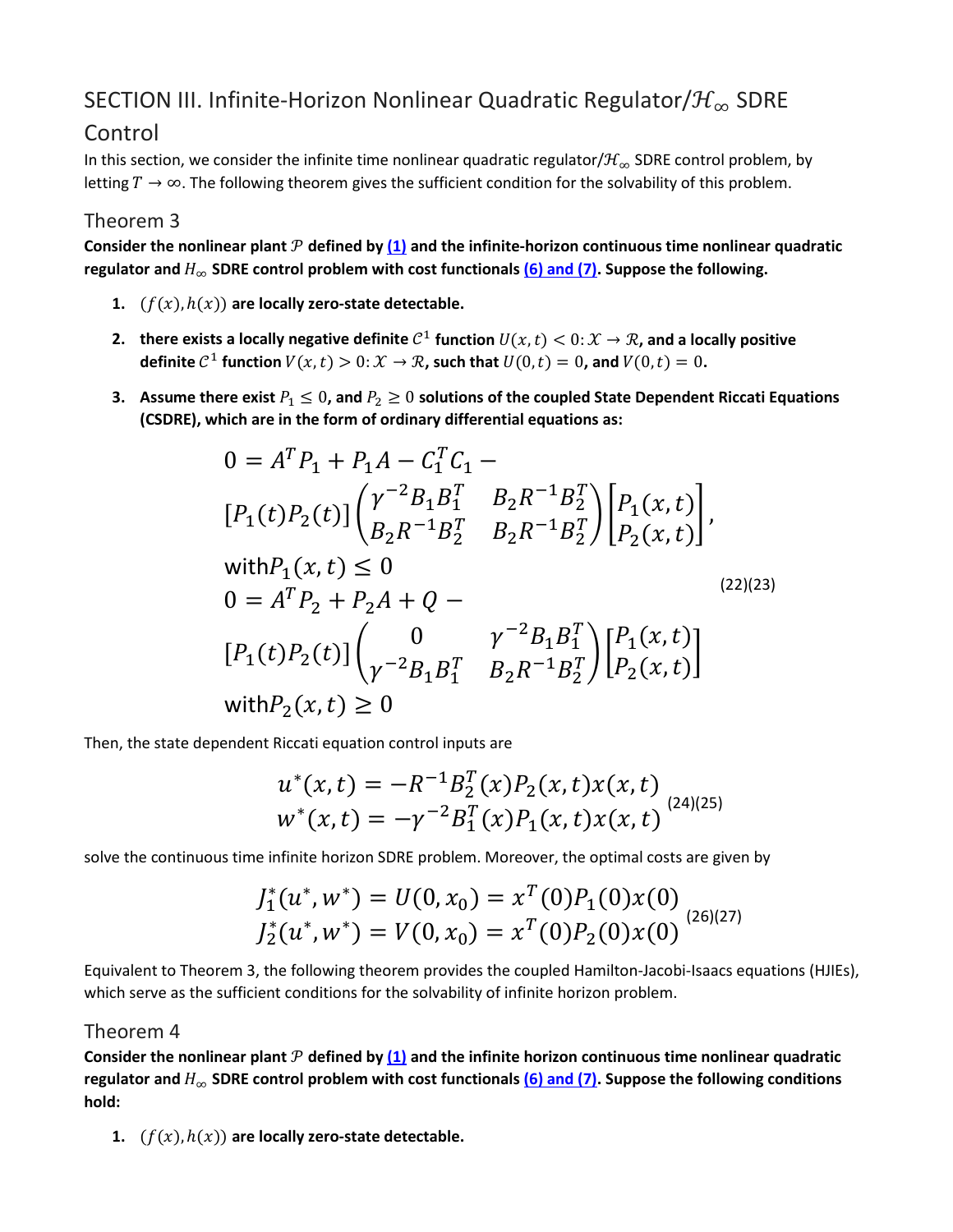# SECTION III. Infinite-Horizon Nonlinear Quadratic Regulator/ $\mathcal{H}_{\infty}$  SDRE

## Control

In this section, we consider the infinite time nonlinear quadratic regulator/ $\mathcal{H}_{\infty}$  SDRE control problem, by letting  $T \to \infty$ . The following theorem gives the sufficient condition for the solvability of this problem.

#### Theorem 3

Consider the nonlinear plant  $P$  defined by  $(1)$  and the infinite-horizon continuous time nonlinear quadratic **regulator and**  $H_{\infty}$  **SDRE control problem with cost functionals [\(6\) and \(7\).](https://ieeexplore.ieee.org/document/#deqn6-7) Suppose the following.** 

- **1.**  $(f(x), h(x))$  are locally zero-state detectable.
- **2. there exists a locally negative definite**  $C^1$  function  $U(x, t) < 0$ :  $\mathcal{X} \to \mathcal{R}$ , and a locally positive **definite**  $C^1$  **function**  $V(x, t) > 0: X \to \mathcal{R}$ , such that  $U(0, t) = 0$ , and  $V(0, t) = 0$ .
- **3.** Assume there exist  $P_1 \leq 0$ , and  $P_2 \geq 0$  solutions of the coupled State Dependent Riccati Equations **(CSDRE), which are in the form of ordinary differential equations as:**

$$
0 = A^T P_1 + P_1 A - C_1^T C_1 -
$$
  
\n
$$
[P_1(t)P_2(t)] \begin{pmatrix} \gamma^{-2} B_1 B_1^T & B_2 R^{-1} B_2^T \\ B_2 R^{-1} B_2^T & B_2 R^{-1} B_2^T \end{pmatrix} \begin{bmatrix} P_1(x,t) \\ P_2(x,t) \end{bmatrix},
$$
  
\nwith  $P_1(x,t) \le 0$   
\n
$$
0 = A^T P_2 + P_2 A + Q -
$$
  
\n
$$
[P_1(t)P_2(t)] \begin{pmatrix} 0 & \gamma^{-2} B_1 B_1^T \\ \gamma^{-2} B_1 B_1^T & B_2 R^{-1} B_2^T \end{pmatrix} \begin{bmatrix} P_1(x,t) \\ P_2(x,t) \end{bmatrix}
$$
  
\nwith  $P_2(x,t) \ge 0$ 

Then, the state dependent Riccati equation control inputs are

$$
u^*(x,t) = -R^{-1}B_2^T(x)P_2(x,t)x(x,t)
$$
  

$$
w^*(x,t) = -\gamma^{-2}B_1^T(x)P_1(x,t)x(x,t)
$$
 (24)(25)

solve the continuous time infinite horizon SDRE problem. Moreover, the optimal costs are given by

$$
J_1^*(u^*, w^*) = U(0, x_0) = x^T(0)P_1(0)x(0)
$$
  

$$
J_2^*(u^*, w^*) = V(0, x_0) = x^T(0)P_2(0)x(0)
$$
  
(26)(27)

Equivalent to Theorem 3, the following theorem provides the coupled Hamilton-Jacobi-Isaacs equations (HJIEs), which serve as the sufficient conditions for the solvability of infinite horizon problem.

#### Theorem 4

Consider the nonlinear plant  $P$  defined by  $(1)$  and the infinite horizon continuous time nonlinear quadratic **regulator and** ∞ **SDRE control problem with cost functionals [\(6\) and \(7\).](https://ieeexplore.ieee.org/document/#deqn6-7) Suppose the following conditions hold:**

**1.**  $(f(x), h(x))$  are locally zero-state detectable.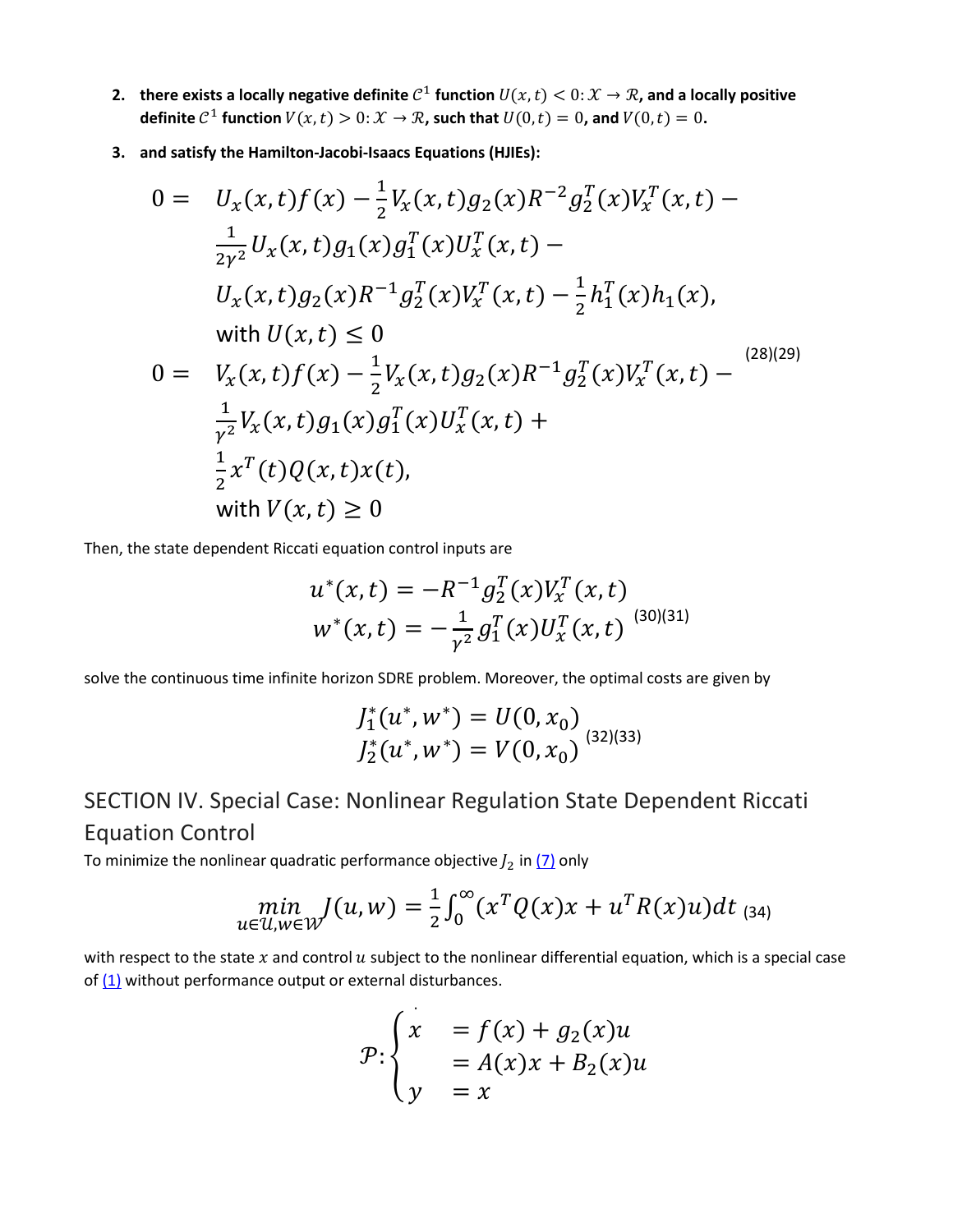- **2. there exists a locally negative definite**  $C^1$  function  $U(x, t) < 0$ :  $\mathcal{X} \to \mathcal{R}$ , and a locally positive **definite**  $C^1$  **function**  $V(x, t) > 0: X \to \mathcal{R}$ , such that  $U(0, t) = 0$ , and  $V(0, t) = 0$ .
- **3. and satisfy the Hamilton-Jacobi-Isaacs Equations (HJIEs):**

$$
0 = U_x(x, t)f(x) - \frac{1}{2}V_x(x, t)g_2(x)R^{-2}g_2^T(x)V_x^T(x, t) -
$$
  
\n
$$
\frac{1}{2\gamma^2}U_x(x, t)g_1(x)g_1^T(x)U_x^T(x, t) -
$$
  
\n
$$
U_x(x, t)g_2(x)R^{-1}g_2^T(x)V_x^T(x, t) - \frac{1}{2}h_1^T(x)h_1(x),
$$
  
\nwith  $U(x, t) \le 0$   
\n
$$
0 = V_x(x, t)f(x) - \frac{1}{2}V_x(x, t)g_2(x)R^{-1}g_2^T(x)V_x^T(x, t) -
$$
  
\n
$$
\frac{1}{\gamma^2}V_x(x, t)g_1(x)g_1^T(x)U_x^T(x, t) +
$$
  
\n
$$
\frac{1}{2}x^T(t)Q(x, t)x(t),
$$
  
\nwith  $V(x, t) \ge 0$ 

Then, the state dependent Riccati equation control inputs are

$$
u^*(x,t) = -R^{-1}g_2^T(x)V_x^T(x,t)
$$
  

$$
w^*(x,t) = -\frac{1}{\gamma^2}g_1^T(x)U_x^T(x,t)
$$
<sup>(30)(31)</sup>

solve the continuous time infinite horizon SDRE problem. Moreover, the optimal costs are given by

$$
J_1^*(u^*, w^*) = U(0, x_0)
$$
  

$$
J_2^*(u^*, w^*) = V(0, x_0)
$$
  

$$
(32)(33)
$$

# SECTION IV. Special Case: Nonlinear Regulation State Dependent Riccati Equation Control

To minimize the nonlinear quadratic performance objective  $J_2$  in  $(7)$  only

$$
\min_{u \in \mathcal{U}, w \in \mathcal{W}} J(u, w) = \frac{1}{2} \int_0^{\infty} (x^T Q(x) x + u^T R(x) u) dt
$$
 (34)

with respect to the state  $x$  and control  $u$  subject to the nonlinear differential equation, which is a special case of  $(1)$  without performance output or external disturbances.

$$
\mathcal{P}:\begin{cases} x &= f(x) + g_2(x)u \\ y &= A(x)x + B_2(x)u \end{cases}
$$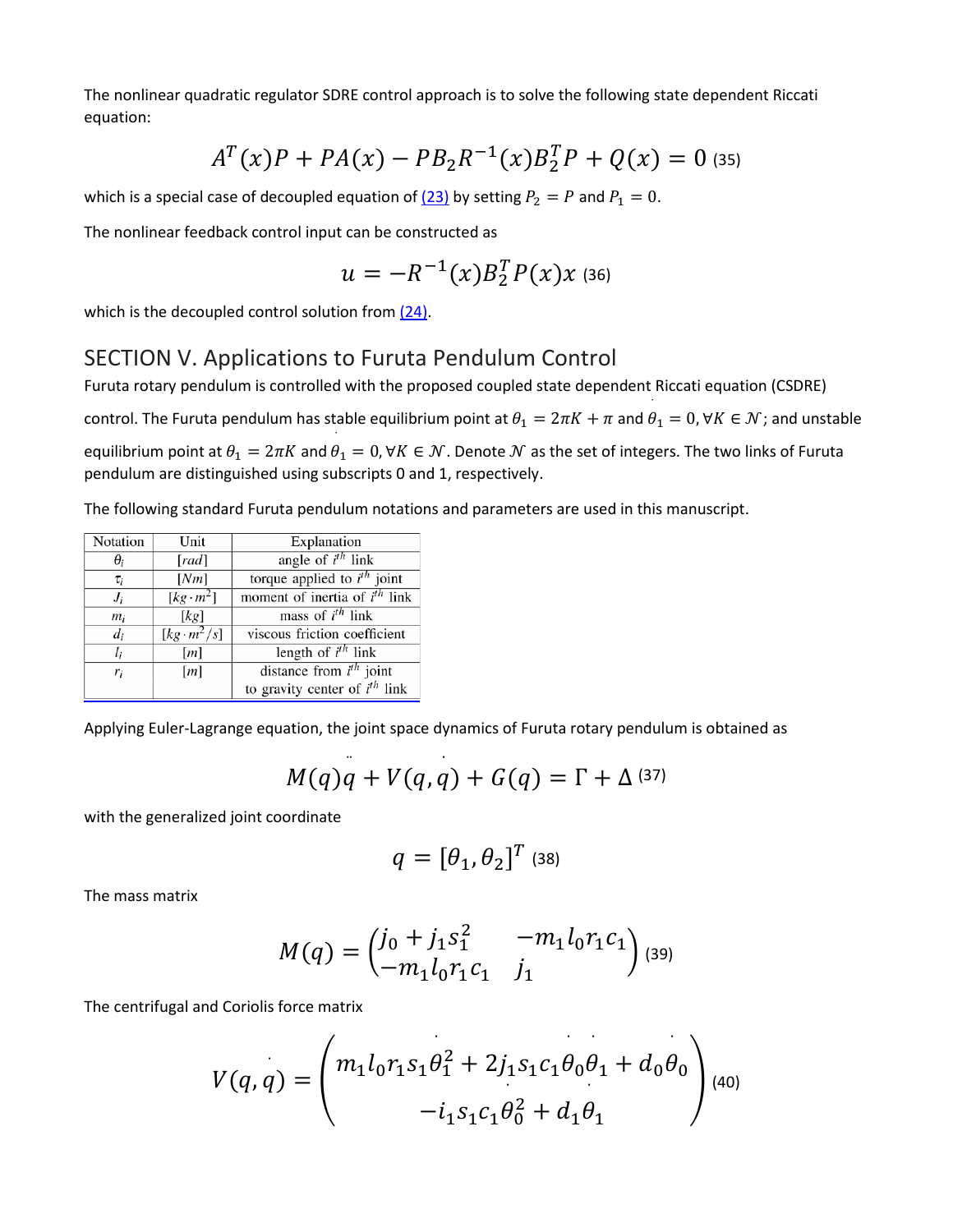The nonlinear quadratic regulator SDRE control approach is to solve the following state dependent Riccati equation:

$$
A^T(x)P + PA(x) - PB_2R^{-1}(x)B_2^TP + Q(x) = 0
$$
 (35)

which is a special case of decoupled equation of  $(23)$  by setting  $P_2 = P$  and  $P_1 = 0$ .

The nonlinear feedback control input can be constructed as

$$
u = -R^{-1}(x)B_2^T P(x)x
$$
 (36)

which is the decoupled control solution from  $(24)$ .

#### SECTION V. Applications to Furuta Pendulum Control

Furuta rotary pendulum is controlled with the proposed coupled state dependent Riccati equation (CSDRE)

control. The Furuta pendulum has stable equilibrium point at  $\theta_1 = 2\pi K + \pi$  and  $\theta_1 = 0, \forall K \in \mathcal{N}$ ; and unstable

equilibrium point at  $\theta_1 = 2\pi K$  and  $\theta_1 = 0$ ,  $\forall K \in \mathcal{N}$ . Denote  $\mathcal N$  as the set of integers. The two links of Furuta pendulum are distinguished using subscripts 0 and 1, respectively.

The following standard Furuta pendulum notations and parameters are used in this manuscript.

| Notation   | Unit                         | Explanation                        |
|------------|------------------------------|------------------------------------|
| $\theta_i$ | [rad]                        | angle of $i^{th}$ link             |
| $\tau_i$   | [Nm]                         | torque applied to $i^{th}$ joint   |
| $J_i$      | $\sqrt{[kg\cdot m^2]}$       | moment of inertia of $i^{th}$ link |
| $m_i$      | [kg]                         | mass of $i^{th}$ link              |
| $d_i$      | $\overline{[kg\cdot m^2/s]}$ | viscous friction coefficient       |
| $l_i$      | [m]                          | length of $i^{th}$ link            |
| $r_i$      | $\lceil m \rceil$            | distance from $i^{th}$ joint       |
|            |                              | to gravity center of $i^{th}$ link |

Applying Euler-Lagrange equation, the joint space dynamics of Furuta rotary pendulum is obtained as

$$
M(q)q + V(q,q) + G(q) = \Gamma + \Delta^{(37)}
$$

with the generalized joint coordinate

$$
q = [\theta_1, \theta_2]^T
$$
 (38)

The mass matrix

$$
M(q) = \begin{pmatrix} j_0 + j_1 s_1^2 & -m_1 l_0 r_1 c_1 \\ -m_1 l_0 r_1 c_1 & j_1 \end{pmatrix} (39)
$$

The centrifugal and Coriolis force matrix

$$
V(q,q) = \begin{pmatrix} m_1 l_0 r_1 s_1 \theta_1^2 + 2 j_1 s_1 c_1 \theta_0 \theta_1 + d_0 \theta_0 \\ -i_1 s_1 c_1 \theta_0^2 + d_1 \theta_1 \end{pmatrix} \tag{40}
$$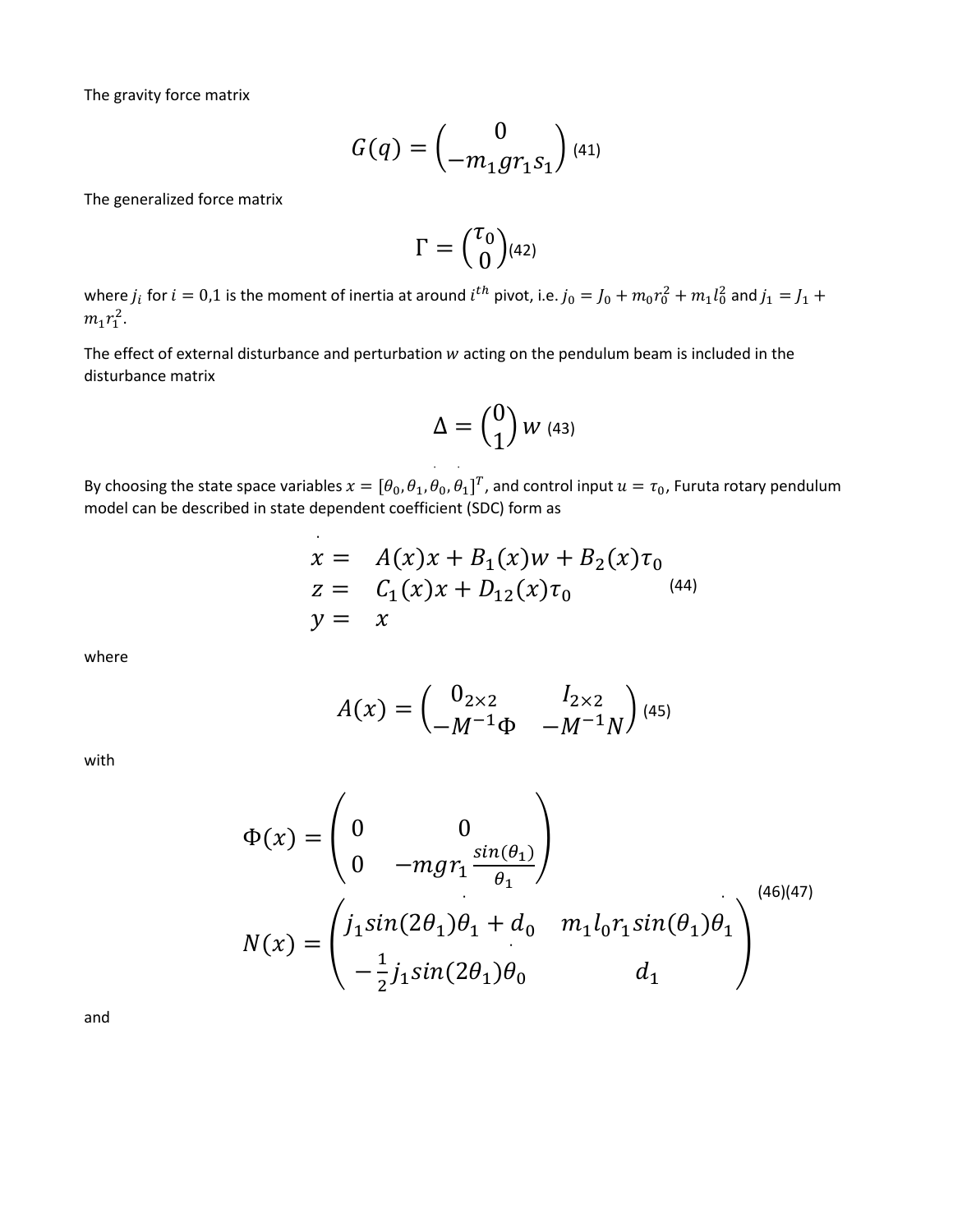The gravity force matrix

$$
G(q) = {0 \choose -m_1 gr_1 s_1} {}_{(41)}
$$

The generalized force matrix

$$
\Gamma = {\tau_0 \choose 0} (42)
$$

where  $j_i$  for  $i=0,1$  is the moment of inertia at around  $i^{th}$  pivot, i.e.  $j_0=j_0+m_0r_0^2+m_1l_0^2$  and  $j_1=j_1+$  $m_1 r_1^2$ .

The effect of external disturbance and perturbation  $w$  acting on the pendulum beam is included in the disturbance matrix

$$
\Delta = \begin{pmatrix} 0 \\ 1 \end{pmatrix} W \text{ (43)}
$$

By choosing the state space variables  $x = [\theta_0, \theta_1, \theta_2]$  $_0$ ,  $\theta$ ˙  $\mathbf{1}_{1}$ ]<sup>T</sup>, and control input  $u = \tau_0$ , Furuta rotary pendulum model can be described in state dependent coefficient (SDC) form as

$$
x = A(x)x + B_1(x)w + B_2(x)\tau_0
$$
  
\n
$$
z = C_1(x)x + D_{12}(x)\tau_0
$$
  
\n
$$
y = x
$$
 (44)

where

$$
A(x) = \begin{pmatrix} 0_{2 \times 2} & I_{2 \times 2} \\ -M^{-1} \Phi & -M^{-1} N \end{pmatrix} (45)
$$

with

$$
\Phi(x) = \begin{pmatrix} 0 & 0 \\ 0 & -mgr_1 \frac{\sin(\theta_1)}{\theta_1} \end{pmatrix}
$$
  

$$
N(x) = \begin{pmatrix} j_1 \sin(2\theta_1)\theta_1 + d_0 & m_1 l_0 r_1 \sin(\theta_1)\theta_1 \\ -\frac{1}{2} j_1 \sin(2\theta_1)\theta_0 & d_1 \end{pmatrix}
$$
<sup>(46)(47)</sup>

and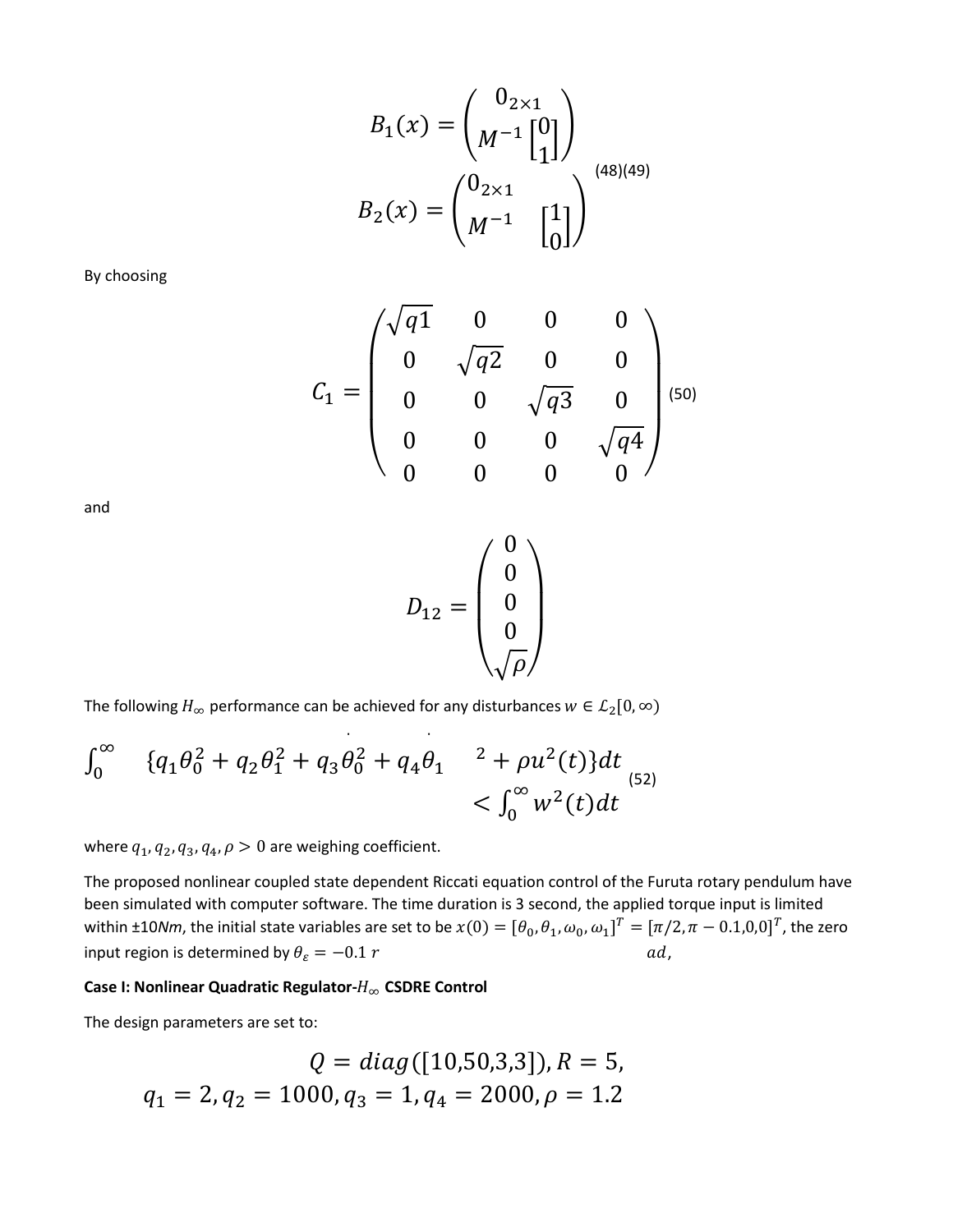$$
B_1(x) = \begin{pmatrix} 0_{2 \times 1} \\ M^{-1} \begin{bmatrix} 0 \\ 1 \end{bmatrix} \end{pmatrix}
$$

$$
B_2(x) = \begin{pmatrix} 0_{2 \times 1} \\ M^{-1} \end{pmatrix} \begin{pmatrix} 1 \\ 0 \end{pmatrix}
$$

By choosing

$$
C_1 = \begin{pmatrix} \sqrt{q1} & 0 & 0 & 0 \\ 0 & \sqrt{q2} & 0 & 0 \\ 0 & 0 & \sqrt{q3} & 0 \\ 0 & 0 & 0 & \sqrt{q4} \\ 0 & 0 & 0 & 0 \end{pmatrix}
$$
<sup>(50)</sup>

and

$$
D_{12}=\begin{pmatrix}0\\0\\0\\0\\\sqrt{\rho}\end{pmatrix}
$$

The following  $H_{\infty}$  performance can be achieved for any disturbances  $w \in \mathcal{L}_2[0,\infty)$ 

$$
\int_0^\infty \{q_1 \theta_0^2 + q_2 \theta_1^2 + q_3 \theta_0^2 + q_4 \theta_1 \ge \theta_0^2 + \rho u^2(t)\} dt
$$
\n
$$
\langle \int_0^\infty w^2(t) dt \rangle
$$
\n(52)

where  $q_1$ ,  $q_2$ ,  $q_3$ ,  $q_4$ ,  $\rho > 0$  are weighing coefficient.

The proposed nonlinear coupled state dependent Riccati equation control of the Furuta rotary pendulum have been simulated with computer software. The time duration is 3 second, the applied torque input is limited within ±10*Nm*, the initial state variables are set to be  $x(0) = [\theta_0, \theta_1, \omega_0, \omega_1]^T = [\pi/2, \pi - 0.1, 0, 0]^T$ , the zero input region is determined by  $\theta_{\varepsilon} = -0.1 r$   $ad$ ,

#### **Case I: Nonlinear Quadratic Regulator-** $H_{\infty}$  **CSDRE Control**

The design parameters are set to:

$$
Q = diag([10,50,3,3]), R = 5,
$$
  

$$
q_1 = 2, q_2 = 1000, q_3 = 1, q_4 = 2000, \rho = 1.2
$$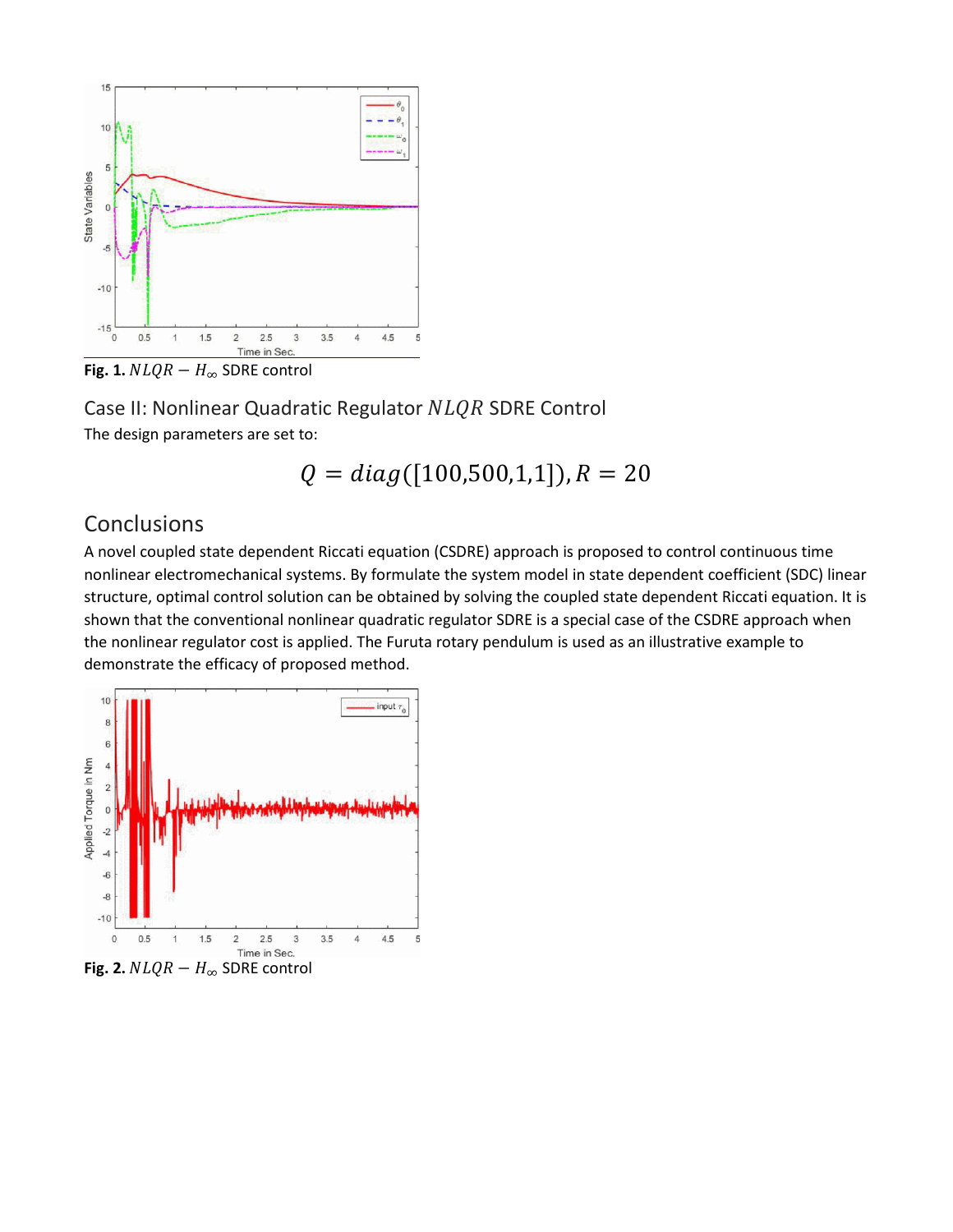

**Fig. 1.**  $NLQR - H_{\infty}$  SDRE control

Case II: Nonlinear Quadratic Regulator NLQR SDRE Control The design parameters are set to:

$$
Q = diag([100, 500, 1, 1]), R = 20
$$

## Conclusions

A novel coupled state dependent Riccati equation (CSDRE) approach is proposed to control continuous time nonlinear electromechanical systems. By formulate the system model in state dependent coefficient (SDC) linear structure, optimal control solution can be obtained by solving the coupled state dependent Riccati equation. It is shown that the conventional nonlinear quadratic regulator SDRE is a special case of the CSDRE approach when the nonlinear regulator cost is applied. The Furuta rotary pendulum is used as an illustrative example to demonstrate the efficacy of proposed method.



**Fig. 2.**  $NLQR - H_{\infty}$  SDRE control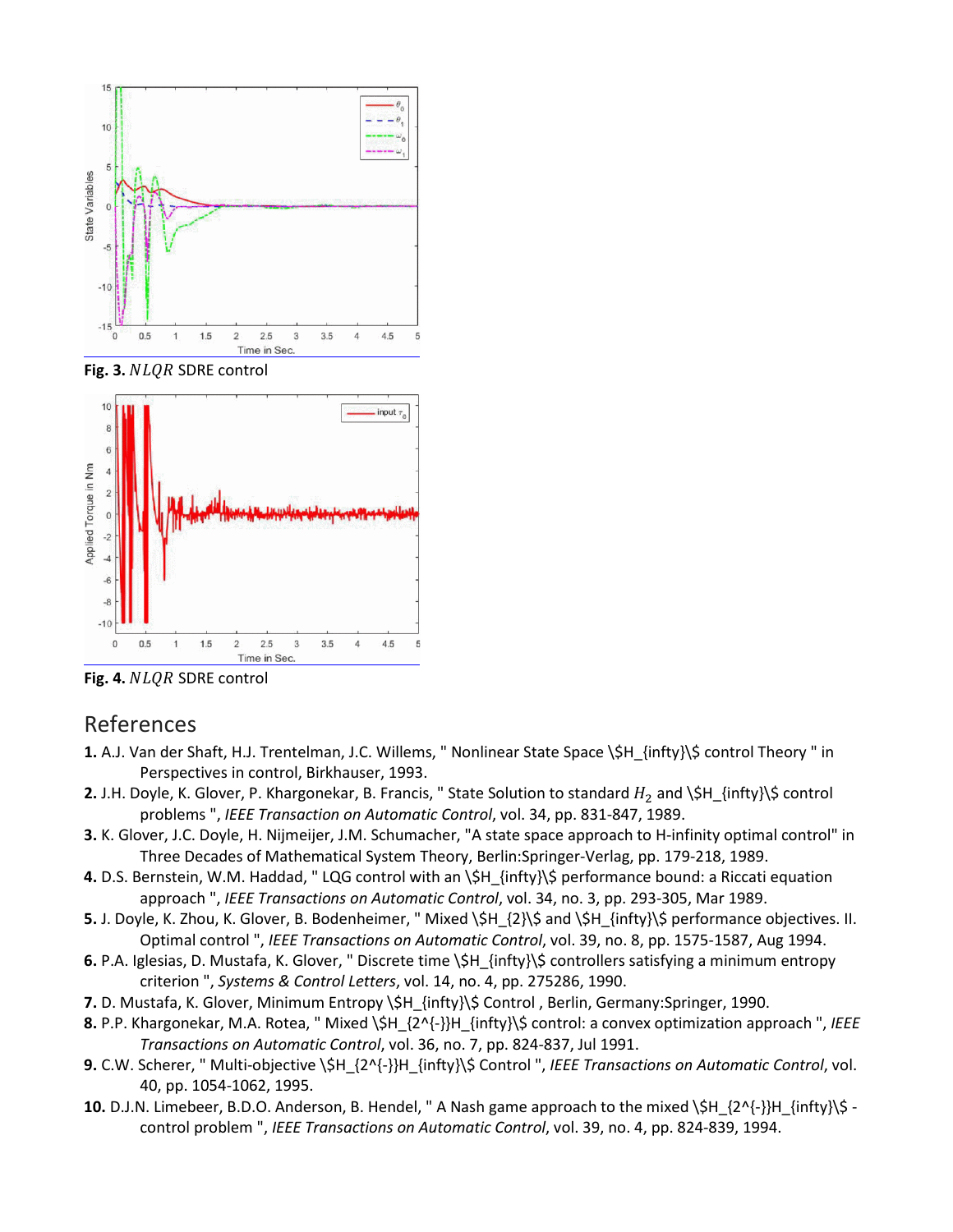

Fig. 3. NLQR SDRE control



Fig. 4. NLQR SDRE control

## References

- **1.** A.J. Van der Shaft, H.J. Trentelman, J.C. Willems, " Nonlinear State Space \\$H\_{infty}\\$ control Theory " in Perspectives in control, Birkhauser, 1993.
- **2.** J.H. Doyle, K. Glover, P. Khargonekar, B. Francis, " State Solution to standard  $H_2$  and  $\$H_{i}$  infty} $\$$  control problems ", *IEEE Transaction on Automatic Control*, vol. 34, pp. 831-847, 1989.
- **3.** K. Glover, J.C. Doyle, H. Nijmeijer, J.M. Schumacher, "A state space approach to H-infinity optimal control" in Three Decades of Mathematical System Theory, Berlin:Springer-Verlag, pp. 179-218, 1989.
- **4.** D.S. Bernstein, W.M. Haddad, " LQG control with an \\$H\_{infty}\\$ performance bound: a Riccati equation approach ", *IEEE Transactions on Automatic Control*, vol. 34, no. 3, pp. 293-305, Mar 1989.
- **5.** J. Doyle, K. Zhou, K. Glover, B. Bodenheimer, " Mixed \\$H\_{2}\\$ and \\$H\_{infty}\\$ performance objectives. II. Optimal control ", *IEEE Transactions on Automatic Control*, vol. 39, no. 8, pp. 1575-1587, Aug 1994.
- **6.** P.A. Iglesias, D. Mustafa, K. Glover, " Discrete time \\$H\_{infty}\\$ controllers satisfying a minimum entropy criterion ", *Systems & Control Letters*, vol. 14, no. 4, pp. 275286, 1990.
- **7.** D. Mustafa, K. Glover, Minimum Entropy \\$H\_{infty}\\$ Control , Berlin, Germany:Springer, 1990.
- **8.** P.P. Khargonekar, M.A. Rotea, " Mixed \\$H\_{2^{-}}H\_{infty}\\$ control: a convex optimization approach ", *IEEE Transactions on Automatic Control*, vol. 36, no. 7, pp. 824-837, Jul 1991.
- **9.** C.W. Scherer, " Multi-objective \\$H\_{2^{-}}H\_{infty}\\$ Control ", *IEEE Transactions on Automatic Control*, vol. 40, pp. 1054-1062, 1995.
- **10.** D.J.N. Limebeer, B.D.O. Anderson, B. Hendel, " A Nash game approach to the mixed \\$H\_{2^{-}}H\_{infty}\\$ control problem ", *IEEE Transactions on Automatic Control*, vol. 39, no. 4, pp. 824-839, 1994.